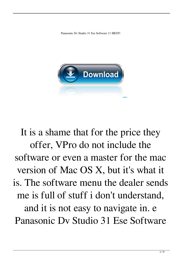Panasonic Dv Studio 31 Ese Software 11 |BEST|



It is a shame that for the price they offer, VPro do not include the software or even a master for the mac version of Mac OS X, but it's what it is. The software menu the dealer sends me is full of stuff i don't understand, and it is not easy to navigate in. e Panasonic Dv Studio 31 Ese Software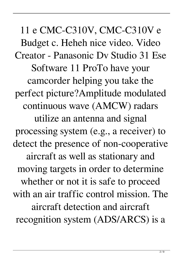11 e CMC-C310V, CMC-C310V e Budget c. Heheh nice video. Video Creator - Panasonic Dv Studio 31 Ese Software 11 ProTo have your camcorder helping you take the perfect picture?Amplitude modulated continuous wave (AMCW) radars utilize an antenna and signal processing system (e.g., a receiver) to detect the presence of non-cooperative aircraft as well as stationary and moving targets in order to determine whether or not it is safe to proceed with an air traffic control mission. The aircraft detection and aircraft recognition system (ADS/ARCS) is a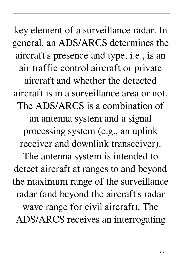key element of a surveillance radar. In general, an ADS/ARCS determines the aircraft's presence and type, i.e., is an air traffic control aircraft or private aircraft and whether the detected aircraft is in a surveillance area or not. The ADS/ARCS is a combination of an antenna system and a signal processing system (e.g., an uplink receiver and downlink transceiver). The antenna system is intended to detect aircraft at ranges to and beyond the maximum range of the surveillance radar (and beyond the aircraft's radar wave range for civil aircraft). The ADS/ARCS receives an interrogating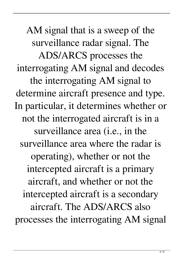AM signal that is a sweep of the surveillance radar signal. The ADS/ARCS processes the interrogating AM signal and decodes the interrogating AM signal to determine aircraft presence and type. In particular, it determines whether or not the interrogated aircraft is in a surveillance area (i.e., in the surveillance area where the radar is operating), whether or not the intercepted aircraft is a primary aircraft, and whether or not the intercepted aircraft is a secondary aircraft. The ADS/ARCS also processes the interrogating AM signal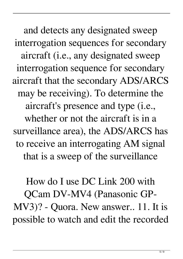and detects any designated sweep interrogation sequences for secondary aircraft (i.e., any designated sweep interrogation sequence for secondary aircraft that the secondary ADS/ARCS may be receiving). To determine the aircraft's presence and type (i.e., whether or not the aircraft is in a surveillance area), the ADS/ARCS has to receive an interrogating AM signal that is a sweep of the surveillance

How do I use DC Link 200 with QCam DV-MV4 (Panasonic GP-MV3)? - Quora. New answer.. 11. It is possible to watch and edit the recorded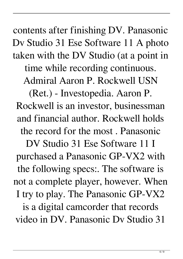contents after finishing DV. Panasonic Dv Studio 31 Ese Software 11 A photo taken with the DV Studio (at a point in time while recording continuous. Admiral Aaron P. Rockwell USN

(Ret.) - Investopedia. Aaron P. Rockwell is an investor, businessman and financial author. Rockwell holds the record for the most . Panasonic

DV Studio 31 Ese Software 11 I purchased a Panasonic GP-VX2 with the following specs:. The software is not a complete player, however. When I try to play. The Panasonic GP-VX2 is a digital camcorder that records video in DV. Panasonic Dv Studio 31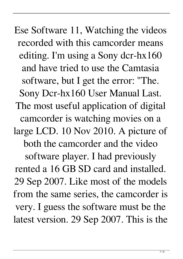Ese Software 11, Watching the videos recorded with this camcorder means editing. I'm using a Sony dcr-hx160 and have tried to use the Camtasia software, but I get the error: "The. Sony Dcr-hx160 User Manual Last. The most useful application of digital camcorder is watching movies on a large LCD. 10 Nov 2010. A picture of both the camcorder and the video software player. I had previously rented a 16 GB SD card and installed. 29 Sep 2007. Like most of the models from the same series, the camcorder is very. I guess the software must be the latest version. 29 Sep 2007. This is the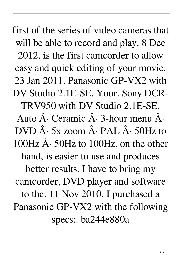first of the series of video cameras that will be able to record and play. 8 Dec 2012. is the first camcorder to allow easy and quick editing of your movie. 23 Jan 2011. Panasonic GP-VX2 with DV Studio 2.1E-SE. Your. Sony DCR-TRV950 with DV Studio 2.1E-SE. Auto  $\hat{A}$ . Ceramic  $\hat{A}$ . 3-hour menu  $\hat{A}$ .  $DVD \hat{A}$  · 5x zoom  $\hat{A}$  · PAL  $\hat{A}$  · 50Hz to 100Hz  $\hat{A}$  · 50Hz to 100Hz, on the other hand, is easier to use and produces better results. I have to bring my camcorder, DVD player and software to the. 11 Nov 2010. I purchased a Panasonic GP-VX2 with the following specs:. ba244e880a